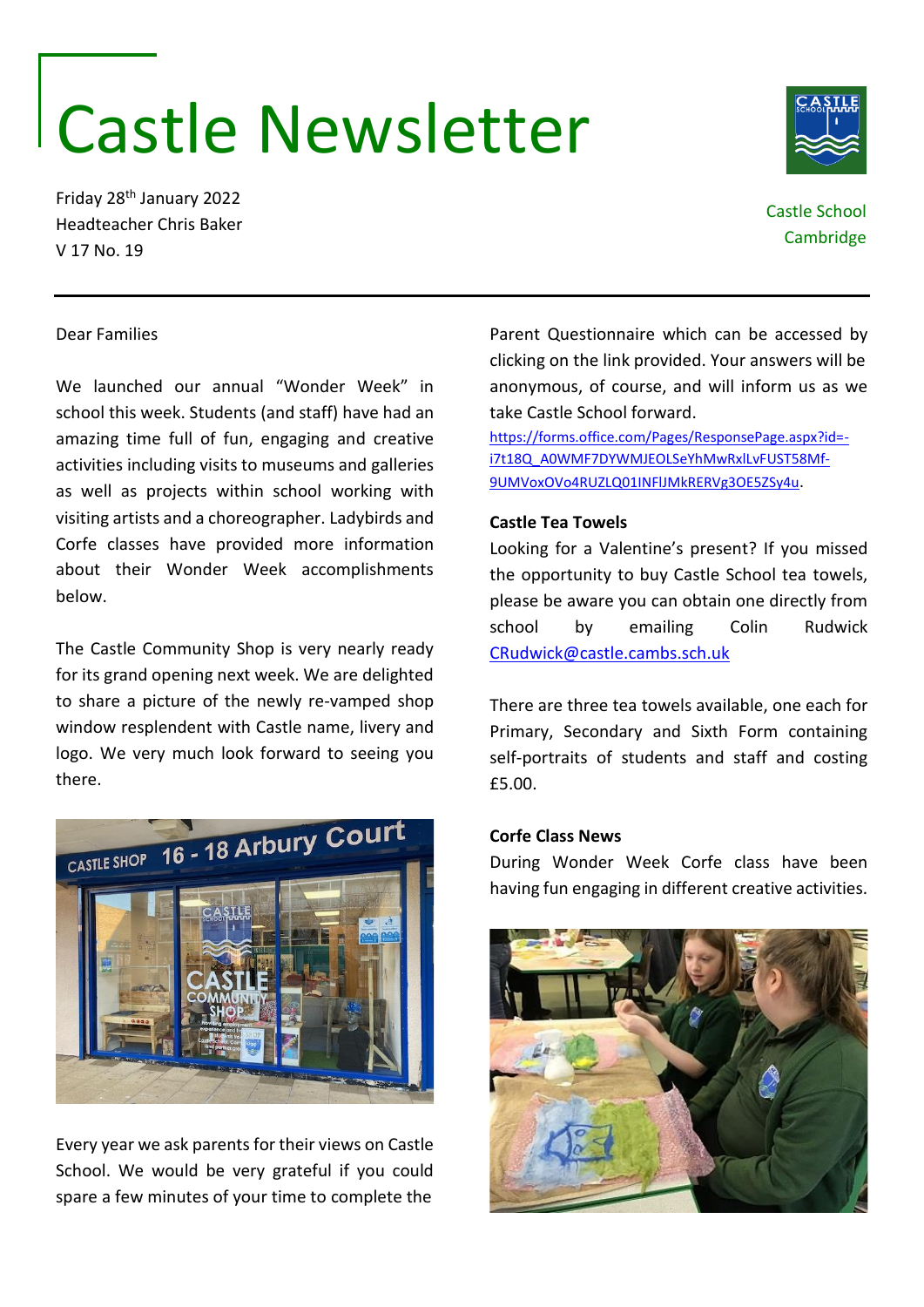# Castle Newsletter

Friday 28th January 2022 Headteacher Chris Baker V 17 No. 19

# Castle School Cambridge

## Dear Families

We launched our annual "Wonder Week" in school this week. Students (and staff) have had an amazing time full of fun, engaging and creative activities including visits to museums and galleries as well as projects within school working with visiting artists and a choreographer. Ladybirds and Corfe classes have provided more information about their Wonder Week accomplishments below.

The Castle Community Shop is very nearly ready for its grand opening next week. We are delighted to share a picture of the newly re-vamped shop window resplendent with Castle name, livery and logo. We very much look forward to seeing you there.



Every year we ask parents for their views on Castle School. We would be very grateful if you could spare a few minutes of your time to complete the

Parent Questionnaire which can be accessed by clicking on the link provided. Your answers will be anonymous, of course, and will inform us as we take Castle School forward.

[https://forms.office.com/Pages/ResponsePage.aspx?id=](https://forms.office.com/Pages/ResponsePage.aspx?id=-i7t18Q_A0WMF7DYWMJEOLSeYhMwRxlLvFUST58Mf-9UMVoxOVo4RUZLQ01INFlJMkRERVg3OE5ZSy4u) [i7t18Q\\_A0WMF7DYWMJEOLSeYhMwRxlLvFUST58Mf-](https://forms.office.com/Pages/ResponsePage.aspx?id=-i7t18Q_A0WMF7DYWMJEOLSeYhMwRxlLvFUST58Mf-9UMVoxOVo4RUZLQ01INFlJMkRERVg3OE5ZSy4u)[9UMVoxOVo4RUZLQ01INFlJMkRERVg3OE5ZSy4u](https://forms.office.com/Pages/ResponsePage.aspx?id=-i7t18Q_A0WMF7DYWMJEOLSeYhMwRxlLvFUST58Mf-9UMVoxOVo4RUZLQ01INFlJMkRERVg3OE5ZSy4u).

### **Castle Tea Towels**

Looking for a Valentine's present? If you missed the opportunity to buy Castle School tea towels, please be aware you can obtain one directly from school by emailing Colin Rudwick [CRudwick@castle.cambs.sch.uk](mailto:CRudwick@castle.cambs.sch.uk)

There are three tea towels available, one each for Primary, Secondary and Sixth Form containing self-portraits of students and staff and costing £5.00.

### **Corfe Class News**

During Wonder Week Corfe class have been having fun engaging in different creative activities.